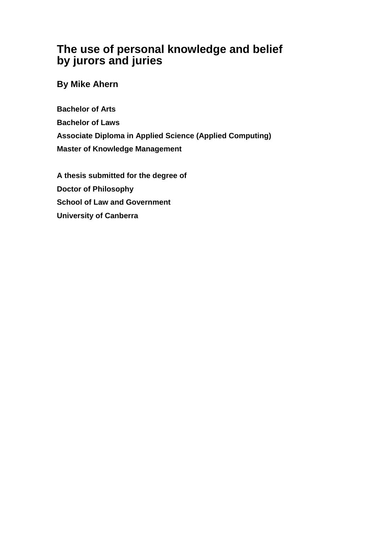# **The use of personal knowledge and belief by jurors and juries**

**By Mike Ahern**

**Bachelor of Arts Bachelor of Laws Associate Diploma in Applied Science (Applied Computing) Master of Knowledge Management**

**A thesis submitted for the degree of Doctor of Philosophy School of Law and Government University of Canberra**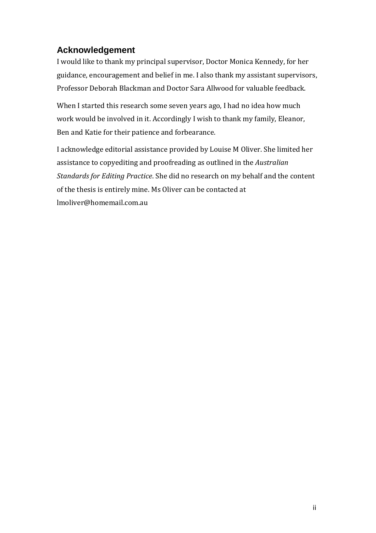#### **Acknowledgement**

I would like to thank my principal supervisor, Doctor Monica Kennedy, for her guidance, encouragement and belief in me. I also thank my assistant supervisors, Professor Deborah Blackman and Doctor Sara Allwood for valuable feedback.

When I started this research some seven years ago, I had no idea how much work would be involved in it. Accordingly I wish to thank my family, Eleanor, Ben and Katie for their patience and forbearance.

I acknowledge editorial assistance provided by Louise M Oliver. She limited her assistance to copyediting and proofreading as outlined in the *Australian Standards for Editing Practice*. She did no research on my behalf and the content of the thesis is entirely mine. Ms Oliver can be contacted at lmoliver@homemail.com.au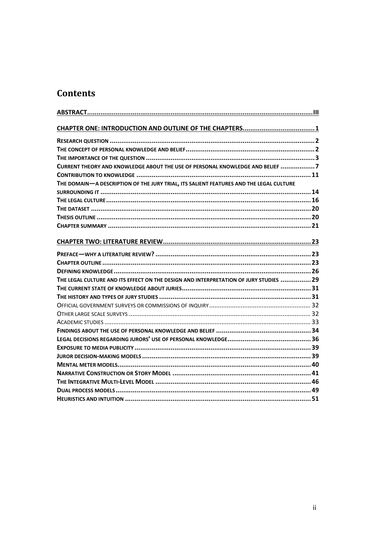#### **Contents**

| CURRENT THEORY AND KNOWLEDGE ABOUT THE USE OF PERSONAL KNOWLEDGE AND BELIEF 7          |
|----------------------------------------------------------------------------------------|
|                                                                                        |
| THE DOMAIN-A DESCRIPTION OF THE JURY TRIAL, ITS SALIENT FEATURES AND THE LEGAL CULTURE |
|                                                                                        |
|                                                                                        |
|                                                                                        |
|                                                                                        |
|                                                                                        |
|                                                                                        |
|                                                                                        |
|                                                                                        |
|                                                                                        |
| THE LEGAL CULTURE AND ITS EFFECT ON THE DESIGN AND INTERPRETATION OF JURY STUDIES  29  |
|                                                                                        |
|                                                                                        |
|                                                                                        |
|                                                                                        |
|                                                                                        |
|                                                                                        |
|                                                                                        |
|                                                                                        |
|                                                                                        |
|                                                                                        |
|                                                                                        |
|                                                                                        |
|                                                                                        |
|                                                                                        |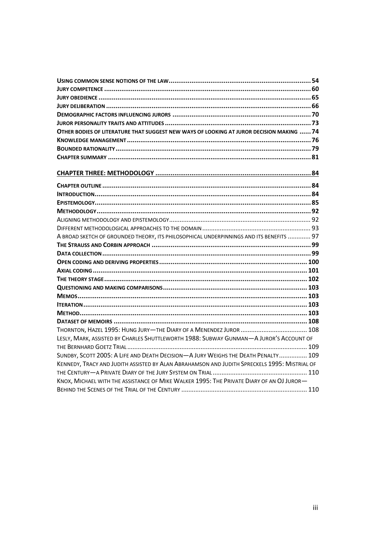| OTHER BODIES OF LITERATURE THAT SUGGEST NEW WAYS OF LOOKING AT JUROR DECISION MAKING  74     |  |
|----------------------------------------------------------------------------------------------|--|
|                                                                                              |  |
|                                                                                              |  |
|                                                                                              |  |
|                                                                                              |  |
|                                                                                              |  |
|                                                                                              |  |
|                                                                                              |  |
|                                                                                              |  |
|                                                                                              |  |
|                                                                                              |  |
| A BROAD SKETCH OF GROUNDED THEORY, ITS PHILOSOPHICAL UNDERPINNINGS AND ITS BENEFITS  97      |  |
|                                                                                              |  |
|                                                                                              |  |
|                                                                                              |  |
|                                                                                              |  |
|                                                                                              |  |
|                                                                                              |  |
|                                                                                              |  |
|                                                                                              |  |
|                                                                                              |  |
|                                                                                              |  |
|                                                                                              |  |
| LESLY, MARK, ASSISTED BY CHARLES SHUTTLEWORTH 1988: SUBWAY GUNMAN-A JUROR'S ACCOUNT OF       |  |
|                                                                                              |  |
| SUNDBY, SCOTT 2005: A LIFE AND DEATH DECISION-A JURY WEIGHS THE DEATH PENALTY 109            |  |
| KENNEDY, TRACY AND JUDITH ASSISTED BY ALAN ABRAHAMSON AND JUDITH SPRECKELS 1995: MISTRIAL OF |  |
|                                                                                              |  |
| KNOX, MICHAEL WITH THE ASSISTANCE OF MIKE WALKER 1995: THE PRIVATE DIARY OF AN OJ JUROR-     |  |
|                                                                                              |  |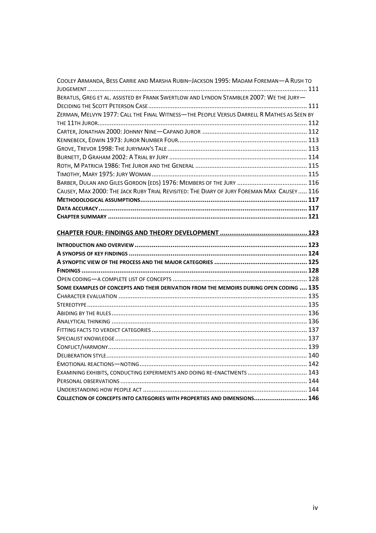| COOLEY ARMANDA, BESS CARRIE AND MARSHA RUBIN-JACKSON 1995: MADAM FOREMAN-A RUSH TO         |  |
|--------------------------------------------------------------------------------------------|--|
|                                                                                            |  |
| BERATLIS, GREG ET AL. ASSISTED BY FRANK SWERTLOW AND LYNDON STAMBLER 2007: WE THE JURY-    |  |
|                                                                                            |  |
| ZERMAN, MELVYN 1977: CALL THE FINAL WITNESS-THE PEOPLE VERSUS DARRELL R MATHES AS SEEN BY  |  |
|                                                                                            |  |
|                                                                                            |  |
|                                                                                            |  |
|                                                                                            |  |
|                                                                                            |  |
|                                                                                            |  |
|                                                                                            |  |
|                                                                                            |  |
| CAUSEY, MAX 2000: THE JACK RUBY TRIAL REVISITED: THE DIARY OF JURY FOREMAN MAX CAUSEY  116 |  |
|                                                                                            |  |
|                                                                                            |  |
|                                                                                            |  |
|                                                                                            |  |
|                                                                                            |  |
|                                                                                            |  |
|                                                                                            |  |
|                                                                                            |  |
|                                                                                            |  |
|                                                                                            |  |
|                                                                                            |  |
| SOME EXAMPLES OF CONCEPTS AND THEIR DERIVATION FROM THE MEMOIRS DURING OPEN CODING  135    |  |
|                                                                                            |  |
|                                                                                            |  |
|                                                                                            |  |
|                                                                                            |  |
|                                                                                            |  |
|                                                                                            |  |
|                                                                                            |  |
|                                                                                            |  |
|                                                                                            |  |
| EXAMINING EXHIBITS, CONDUCTING EXPERIMENTS AND DOING RE-ENACTMENTS  143                    |  |
|                                                                                            |  |
|                                                                                            |  |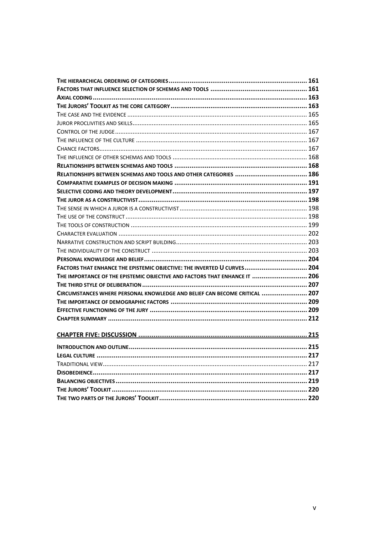| FACTORS THAT ENHANCE THE EPISTEMIC OBJECTIVE: THE INVERTED U CURVES 204    |  |
|----------------------------------------------------------------------------|--|
| THE IMPORTANCE OF THE EPISTEMIC OBJECTIVE AND FACTORS THAT ENHANCE IT  206 |  |
|                                                                            |  |
| CIRCUMSTANCES WHERE PERSONAL KNOWLEDGE AND BELIEF CAN BECOME CRITICAL  207 |  |
|                                                                            |  |
|                                                                            |  |
|                                                                            |  |
|                                                                            |  |
|                                                                            |  |
|                                                                            |  |
|                                                                            |  |
|                                                                            |  |
|                                                                            |  |
|                                                                            |  |
|                                                                            |  |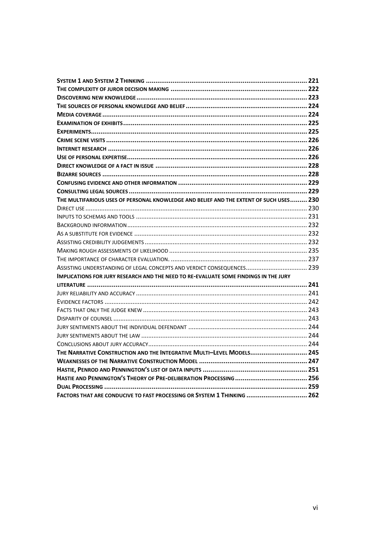| THE MULTIFARIOUS USES OF PERSONAL KNOWLEDGE AND BELIEF AND THE EXTENT OF SUCH USES 230      |  |
|---------------------------------------------------------------------------------------------|--|
|                                                                                             |  |
|                                                                                             |  |
|                                                                                             |  |
|                                                                                             |  |
|                                                                                             |  |
|                                                                                             |  |
|                                                                                             |  |
| ASSISTING UNDERSTANDING OF LEGAL CONCEPTS AND VERDICT CONSEQUENCES 239                      |  |
| <b>IMPLICATIONS FOR JURY RESEARCH AND THE NEED TO RE-EVALUATE SOME FINDINGS IN THE JURY</b> |  |
|                                                                                             |  |
|                                                                                             |  |
|                                                                                             |  |
|                                                                                             |  |
|                                                                                             |  |
|                                                                                             |  |
|                                                                                             |  |
|                                                                                             |  |
| THE NARRATIVE CONSTRUCTION AND THE INTEGRATIVE MULTI-LEVEL MODELS 245                       |  |
|                                                                                             |  |
|                                                                                             |  |
|                                                                                             |  |
|                                                                                             |  |
| FACTORS THAT ARE CONDUCIVE TO FAST PROCESSING OR SYSTEM 1 THINKING  262                     |  |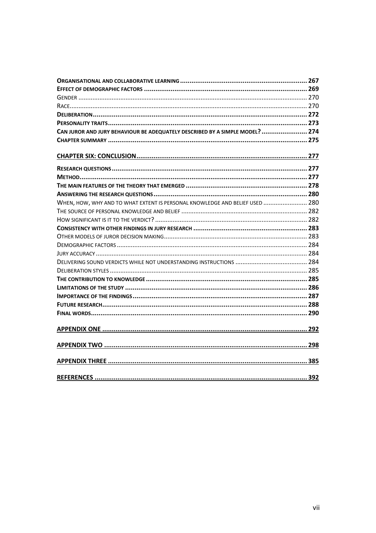| CAN JUROR AND JURY BEHAVIOUR BE ADEQUATELY DESCRIBED BY A SIMPLE MODEL?  274 |  |
|------------------------------------------------------------------------------|--|
|                                                                              |  |
|                                                                              |  |
|                                                                              |  |
|                                                                              |  |
|                                                                              |  |
|                                                                              |  |
|                                                                              |  |
| WHEN, HOW, WHY AND TO WHAT EXTENT IS PERSONAL KNOWLEDGE AND BELIEF USED  280 |  |
|                                                                              |  |
|                                                                              |  |
|                                                                              |  |
|                                                                              |  |
|                                                                              |  |
|                                                                              |  |
|                                                                              |  |
|                                                                              |  |
|                                                                              |  |
|                                                                              |  |
|                                                                              |  |
|                                                                              |  |
|                                                                              |  |
|                                                                              |  |
|                                                                              |  |
|                                                                              |  |
|                                                                              |  |
|                                                                              |  |
|                                                                              |  |
|                                                                              |  |
|                                                                              |  |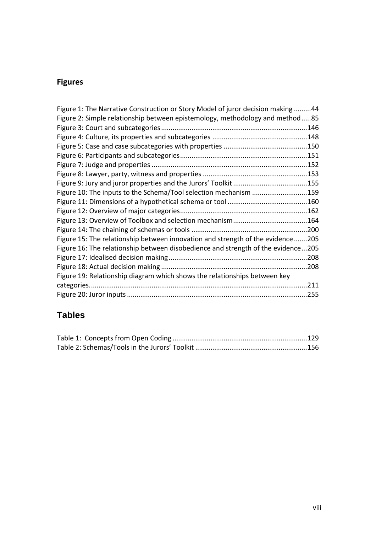## **Figures**

| Figure 1: The Narrative Construction or Story Model of juror decision making 44  |      |
|----------------------------------------------------------------------------------|------|
| Figure 2: Simple relationship between epistemology, methodology and method85     |      |
|                                                                                  |      |
|                                                                                  |      |
|                                                                                  |      |
|                                                                                  |      |
|                                                                                  |      |
|                                                                                  |      |
|                                                                                  |      |
| Figure 10: The inputs to the Schema/Tool selection mechanism 159                 |      |
|                                                                                  |      |
|                                                                                  |      |
|                                                                                  |      |
|                                                                                  |      |
| Figure 15: The relationship between innovation and strength of the evidence205   |      |
| Figure 16: The relationship between disobedience and strength of the evidence205 |      |
|                                                                                  |      |
|                                                                                  | .208 |
| Figure 19: Relationship diagram which shows the relationships between key        |      |
|                                                                                  | .211 |
|                                                                                  |      |

## **Tables**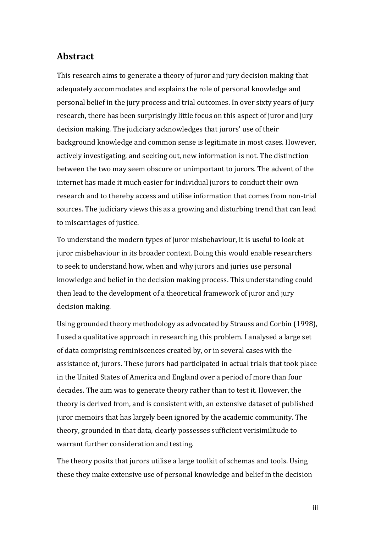#### <span id="page-9-0"></span>**Abstract**

This research aims to generate a theory of juror and jury decision making that adequately accommodates and explains the role of personal knowledge and personal belief in the jury process and trial outcomes. In over sixty years of jury research, there has been surprisingly little focus on this aspect of juror and jury decision making. The judiciary acknowledges that jurors' use of their background knowledge and common sense is legitimate in most cases. However, actively investigating, and seeking out, new information is not. The distinction between the two may seem obscure or unimportant to jurors. The advent of the internet has made it much easier for individual jurors to conduct their own research and to thereby access and utilise information that comes from non-trial sources. The judiciary views this as a growing and disturbing trend that can lead to miscarriages of justice.

To understand the modern types of juror misbehaviour, it is useful to look at juror misbehaviour in its broader context. Doing this would enable researchers to seek to understand how, when and why jurors and juries use personal knowledge and belief in the decision making process. This understanding could then lead to the development of a theoretical framework of juror and jury decision making.

Using grounded theory methodology as advocated by Strauss and Corbin (1998), I used a qualitative approach in researching this problem. I analysed a large set of data comprising reminiscences created by, or in several cases with the assistance of, jurors. These jurors had participated in actual trials that took place in the United States of America and England over a period of more than four decades. The aim was to generate theory rather than to test it. However, the theory is derived from, and is consistent with, an extensive dataset of published juror memoirs that has largely been ignored by the academic community. The theory, grounded in that data, clearly possesses sufficient verisimilitude to warrant further consideration and testing.

The theory posits that jurors utilise a large toolkit of schemas and tools. Using these they make extensive use of personal knowledge and belief in the decision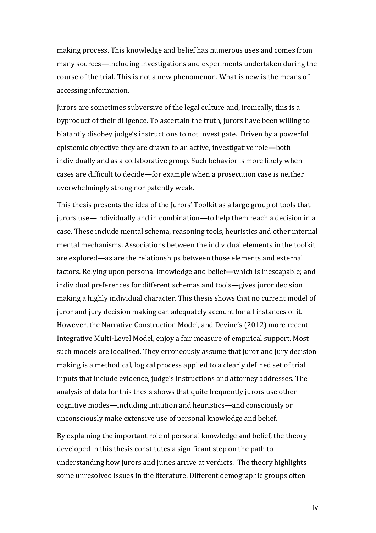making process. This knowledge and belief has numerous uses and comes from many sources—including investigations and experiments undertaken during the course of the trial. This is not a new phenomenon. What is new is the means of accessing information.

Jurors are sometimes subversive of the legal culture and, ironically, this is a byproduct of their diligence. To ascertain the truth, jurors have been willing to blatantly disobey judge's instructions to not investigate. Driven by a powerful epistemic objective they are drawn to an active, investigative role—both individually and as a collaborative group. Such behavior is more likely when cases are difficult to decide—for example when a prosecution case is neither overwhelmingly strong nor patently weak.

This thesis presents the idea of the Jurors' Toolkit as a large group of tools that jurors use—individually and in combination—to help them reach a decision in a case. These include mental schema, reasoning tools, heuristics and other internal mental mechanisms. Associations between the individual elements in the toolkit are explored—as are the relationships between those elements and external factors. Relying upon personal knowledge and belief—which is inescapable; and individual preferences for different schemas and tools—gives juror decision making a highly individual character. This thesis shows that no current model of juror and jury decision making can adequately account for all instances of it. However, the Narrative Construction Model, and Devine's (2012) more recent Integrative Multi-Level Model, enjoy a fair measure of empirical support. Most such models are idealised. They erroneously assume that juror and jury decision making is a methodical, logical process applied to a clearly defined set of trial inputs that include evidence, judge's instructions and attorney addresses. The analysis of data for this thesis shows that quite frequently jurors use other cognitive modes—including intuition and heuristics—and consciously or unconsciously make extensive use of personal knowledge and belief.

By explaining the important role of personal knowledge and belief, the theory developed in this thesis constitutes a significant step on the path to understanding how jurors and juries arrive at verdicts. The theory highlights some unresolved issues in the literature. Different demographic groups often